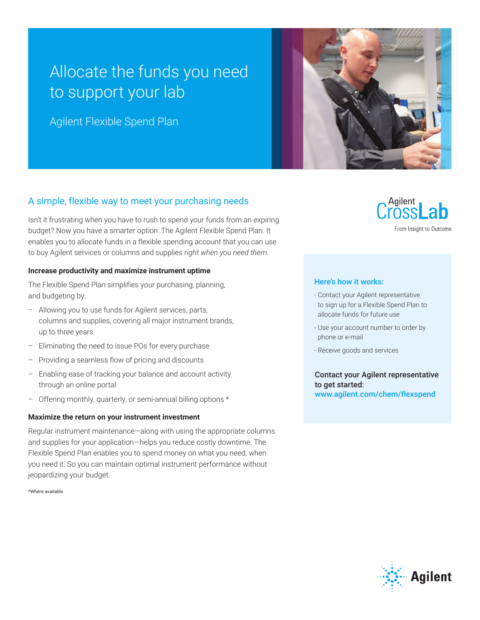## Allocate the funds you need to support your lab

Agilent Flexible Spend Plan



### A simple, flexible way to meet your purchasing needs

Isn't it frustrating when you have to rush to spend your funds from an expiring budget? Now you have a smarter option: The Agilent Flexible Spend Plan. It enables you to allocate funds in a flexible spending account that you can use to buy Agilent services or columns and supplies *right when you need them.*

#### **Increase productivity and maximize instrument uptime**

The Flexible Spend Plan simplifies your purchasing, planning, and budgeting by:

- Allowing you to use funds for Agilent services, parts, columns and supplies, covering all major instrument brands, up to three years.
- Eliminating the need to issue POs for every purchase
- Providing a seamless flow of pricing and discounts
- Enabling ease of tracking your balance and account activity through an online portal
- Offering monthly, quarterly, or semi-annual billing options \*

#### **Maximize the return on your instrument investment**

Regular instrument maintenance—along with using the appropriate columns and supplies for your application—helps you reduce costly downtime. The Flexible Spend Plan enables you to spend money on what you need, when you need it. So you can maintain optimal instrument performance without jeopardizing your budget.

\*Where available

# Agilent

From Insight to Outcome

#### Here's how it works:

- Contact your Agilent representative to sign up for a Flexible Spend Plan to allocate funds for future use
- Use your account number to order by phone or e-mail
- Receive goods and services

Contact your Agilent representative to get started: www.agilent.com/chem/flexspend